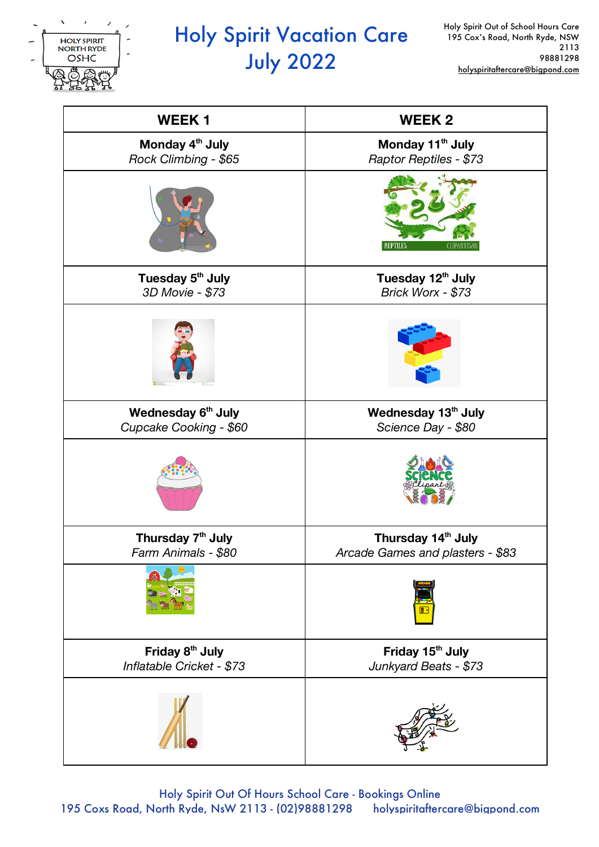

# Holy Spirit Vacation Care July 2022

| <b>WEEK1</b>                                             | <b>WEEK2</b>                                                       |
|----------------------------------------------------------|--------------------------------------------------------------------|
| Monday 4 <sup>th</sup> July<br>Rock Climbing - \$65      | Monday 11 <sup>th</sup> July<br>Raptor Reptiles - \$73             |
|                                                          | REPTILES                                                           |
| Tuesday 5 <sup>th</sup> July<br>3D Movie - \$73          | Tuesday 12 <sup>th</sup> July<br>Brick Worx - \$73                 |
|                                                          |                                                                    |
| Wednesday 6 <sup>th</sup> July<br>Cupcake Cooking - \$60 | Wednesday 13th July<br>Science Day - \$80                          |
|                                                          |                                                                    |
| Thursday 7 <sup>th</sup> July<br>Farm Animals - \$80     | Thursday 14 <sup>th</sup> July<br>Arcade Games and plasters - \$83 |
|                                                          |                                                                    |
| Friday 8 <sup>th</sup> July<br>Inflatable Cricket - \$73 | Friday 15 <sup>th</sup> July<br>Junkyard Beats - \$73              |
|                                                          |                                                                    |

Holy Spirit Out Of Hours School Care - Bookings Online 195 Coxs Road, North Ryde, NsW 2113 - (02)98881298 holyspiritaftercare@bigpond.com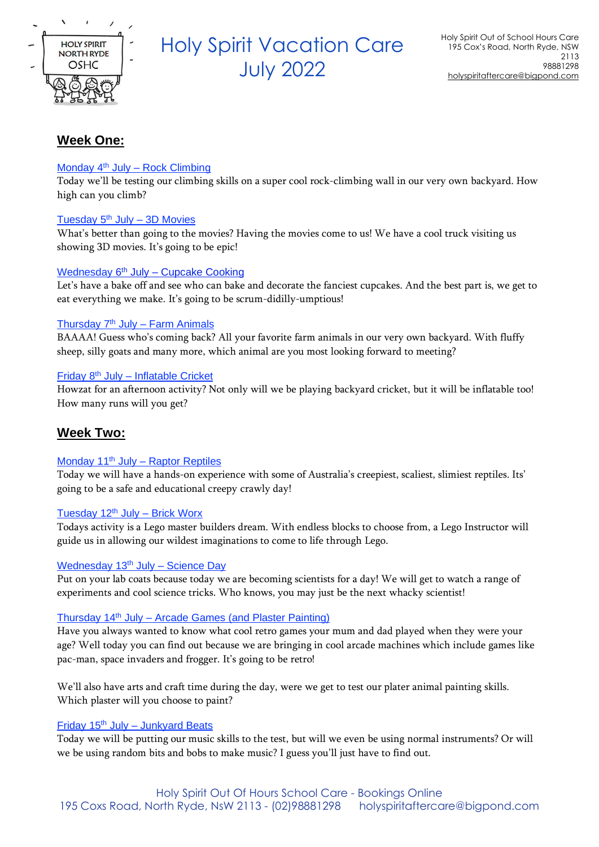

## Holy Spirit Vacation Care July <sup>2022</sup>

## **Week One:**

## Monday 4<sup>th</sup> July - Rock Climbing

Today we'll be testing our climbing skills on a super cool rock-climbing wall in our very own backyard. How high can you climb?

## Tuesday 5<sup>th</sup> July - 3D Movies

What's better than going to the movies? Having the movies come to us! We have a cool truck visiting us showing 3D movies. It's going to be epic!

## Wednesday 6<sup>th</sup> July – Cupcake Cooking

Let's have a bake off and see who can bake and decorate the fanciest cupcakes. And the best part is, we get to eat everything we make. It's going to be scrum-didilly-umptious!

## Thursday 7<sup>th</sup> July - Farm Animals

BAAAA! Guess who's coming back? All your favorite farm animals in our very own backyard. With fluffy sheep, silly goats and many more, which animal are you most looking forward to meeting?

## Friday 8<sup>th</sup> July - Inflatable Cricket

Howzat for an afternoon activity? Not only will we be playing backyard cricket, but it will be inflatable too! How many runs will you get?

## **Week Two:**

## Monday 11<sup>th</sup> July – Raptor Reptiles

Today we will have a hands-on experience with some of Australia's creepiest, scaliest, slimiest reptiles. Its' going to be a safe and educational creepy crawly day!

## Tuesday  $12<sup>th</sup>$  July – Brick Worx

Todays activity is a Lego master builders dream. With endless blocks to choose from, a Lego Instructor will guide us in allowing our wildest imaginations to come to life through Lego.

## Wednesday 13<sup>th</sup> July - Science Day

Put on your lab coats because today we are becoming scientists for a day! We will get to watch a range of experiments and cool science tricks. Who knows, you may just be the next whacky scientist!

## Thursday  $14<sup>th</sup>$  July – Arcade Games (and Plaster Painting)

Have you always wanted to know what cool retro games your mum and dad played when they were your age? Well today you can find out because we are bringing in cool arcade machines which include games like pac-man, space invaders and frogger. It's going to be retro!

We'll also have arts and craft time during the day, were we get to test our plater animal painting skills. Which plaster will you choose to paint?

## Friday  $15<sup>th</sup>$  July – Junkvard Beats

Today we will be putting our music skills to the test, but will we even be using normal instruments? Or will we be using random bits and bobs to make music? I guess you'll just have to find out.